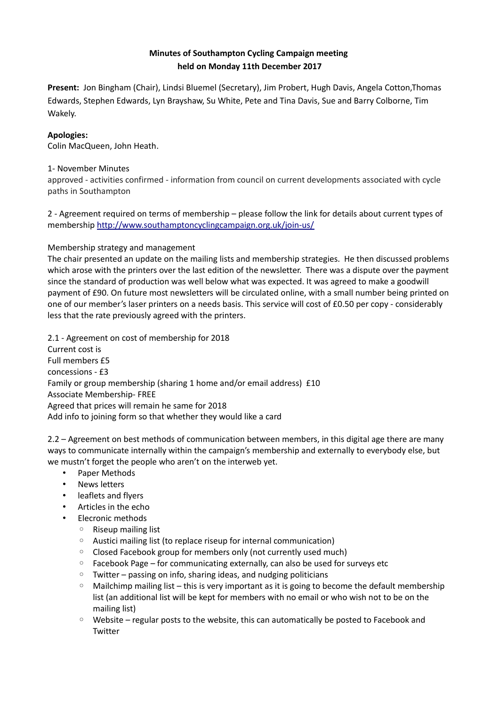## **Minutes of Southampton Cycling Campaign meeting held on Monday 11th December 2017**

**Present:** Jon Bingham (Chair), Lindsi Bluemel (Secretary), Jim Probert, Hugh Davis, Angela Cotton,Thomas Edwards, Stephen Edwards, Lyn Brayshaw, Su White, Pete and Tina Davis, Sue and Barry Colborne, Tim Wakely.

## **Apologies:**

Colin MacQueen, John Heath.

## 1- November Minutes

approved - activities confirmed - information from council on current developments associated with cycle paths in Southampton

2 - Agreement required on terms of membership – please follow the link for details about current types of membership<http://www.southamptoncyclingcampaign.org.uk/join-us/>

## Membership strategy and management

The chair presented an update on the mailing lists and membership strategies. He then discussed problems which arose with the printers over the last edition of the newsletter. There was a dispute over the payment since the standard of production was well below what was expected. It was agreed to make a goodwill payment of £90. On future most newsletters will be circulated online, with a small number being printed on one of our member's laser printers on a needs basis. This service will cost of £0.50 per copy - considerably less that the rate previously agreed with the printers.

2.1 - Agreement on cost of membership for 2018 Current cost is Full members £5 concessions - £3 Family or group membership (sharing 1 home and/or email address) £10 Associate Membership- FREE Agreed that prices will remain he same for 2018 Add info to joining form so that whether they would like a card

2.2 – Agreement on best methods of communication between members, in this digital age there are many ways to communicate internally within the campaign's membership and externally to everybody else, but we mustn't forget the people who aren't on the interweb yet.

- Paper Methods
- **News letters**
- leaflets and flyers
- Articles in the echo
- Elecronic methods
	- Riseup mailing list
	- Austici mailing list (to replace riseup for internal communication)
	- Closed Facebook group for members only (not currently used much)
	- Facebook Page for communicating externally, can also be used for surveys etc
	- Twitter passing on info, sharing ideas, and nudging politicians
	- $\circ$  Mailchimp mailing list this is very important as it is going to become the default membership list (an additional list will be kept for members with no email or who wish not to be on the mailing list)
	- Website regular posts to the website, this can automatically be posted to Facebook and **Twitter**